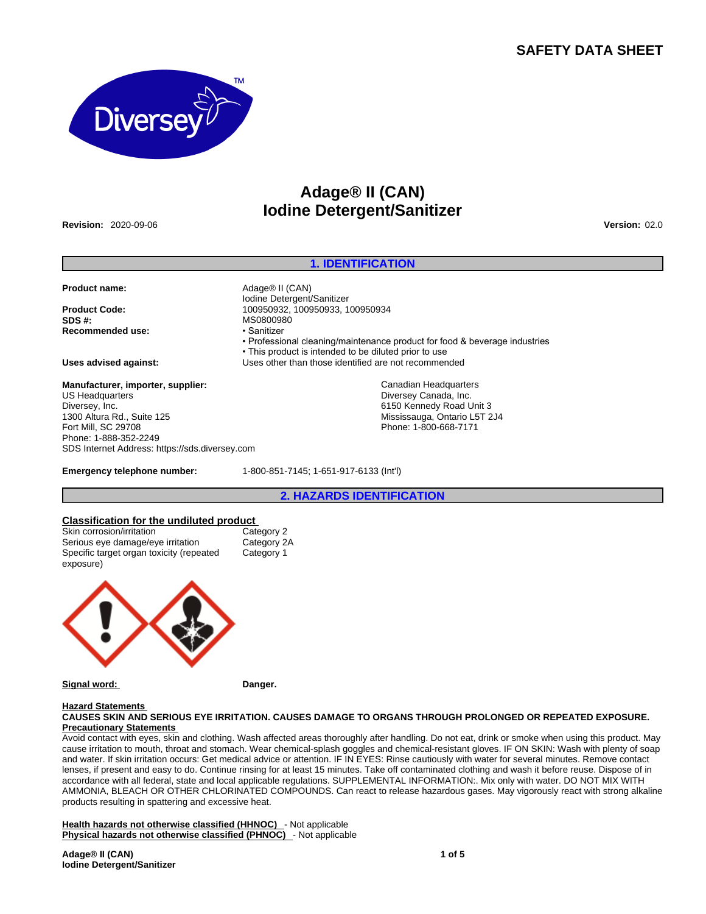## **SAFETY DATA SHEET**



# **Adage® II (CAN) Iodine Detergent/Sanitizer**

**Revision:** 2020-09-06 **Version:** 02.0

### **1. IDENTIFICATION**

#### **Product name:**  $\qquad \qquad \text{Adage} \oplus \text{II (CAN)}$

**Product Code:** 100950932, 100950933, 100950934 **SDS #:** MS0800980 **Recommended use:** • Sanitizer

• Professional cleaning/maintenance product for food & beverage industries • This product is intended to be diluted prior to use

> Canadian Headquarters Diversey Canada, Inc. 6150 Kennedy Road Unit 3 Mississauga, Ontario L5T 2J4 Phone: 1-800-668-7171

**Uses advised against:** Uses other than those identified are not recommended

#### **Manufacturer, importer, supplier:** US Headquarters Diversey, Inc. 1300 Altura Rd., Suite 125 Fort Mill, SC 29708 Phone: 1-888-352-2249

SDS Internet Address: https://sds.diversey.com

**Emergency telephone number:** 1-800-851-7145; 1-651-917-6133 (Int'l)

Iodine Detergent/Sanitizer

**2. HAZARDS IDENTIFICATION**

# **Classification for the undiluted product**

Skin corrosion/irritation Category 2<br>
Serious eve damage/eve irritation Category 2A Serious eye damage/eye irritation Specific target organ toxicity (repeated exposure) Category 1



Signal word: **Danger.** 

### **Hazard Statements**

### **CAUSES SKIN AND SERIOUS EYE IRRITATION. CAUSES DAMAGE TO ORGANS THROUGH PROLONGED OR REPEATED EXPOSURE. Precautionary Statements**

Avoid contact with eyes, skin and clothing. Wash affected areas thoroughly after handling. Do not eat, drink or smoke when using this product. May cause irritation to mouth, throat and stomach. Wear chemical-splash goggles and chemical-resistant gloves. IF ON SKIN: Wash with plenty of soap and water. If skin irritation occurs: Get medical advice or attention. IF IN EYES: Rinse cautiously with water for several minutes. Remove contact lenses, if present and easy to do. Continue rinsing for at least 15 minutes. Take off contaminated clothing and wash it before reuse. Dispose of in accordance with all federal, state and local applicable regulations. SUPPLEMENTAL INFORMATION:. Mix only with water. DO NOT MIX WITH AMMONIA, BLEACH OR OTHER CHLORINATED COMPOUNDS. Can react to release hazardous gases. May vigorously react with strong alkaline products resulting in spattering and excessive heat.

**Health hazards not otherwise classified (HHNOC)** - Not applicable **Physical hazards not otherwise classified (PHNOC)** - Not applicable

**Adage® II (CAN) Iodine Detergent/Sanitizer**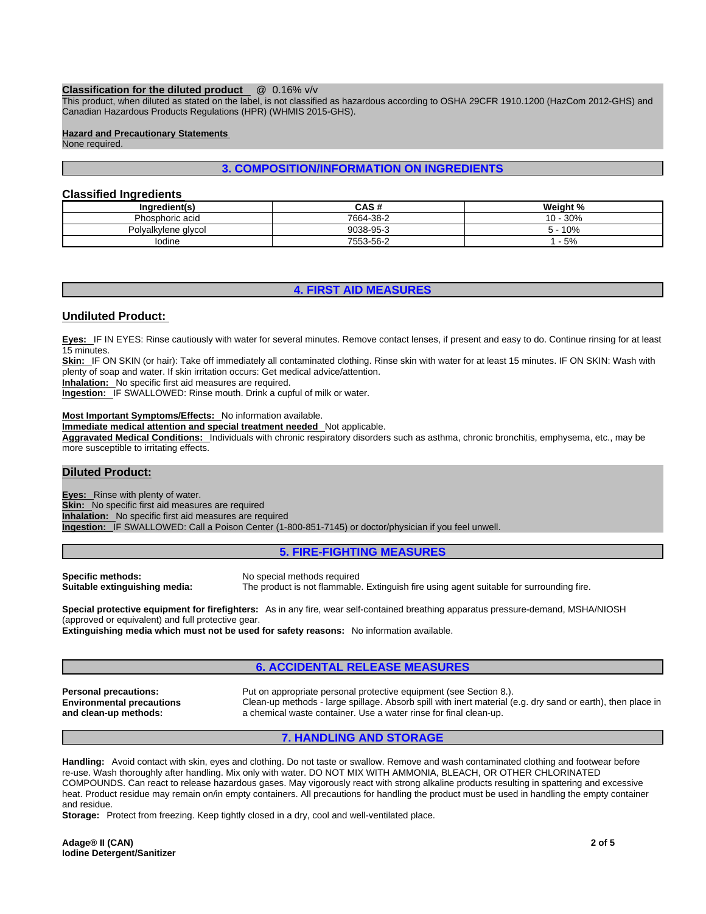#### **Classification for the diluted product** @ 0.16% v/v

This product, when diluted as stated on the label, is not classified as hazardous according to OSHA 29CFR 1910.1200 (HazCom 2012-GHS) and Canadian Hazardous Products Regulations (HPR) (WHMIS 2015-GHS).

#### **Hazard and Precautionary Statements**

None required.

### **3. COMPOSITION/INFORMATION ON INGREDIENTS**

### **Classified Ingredients**

| Ingredient(s)       | <b>CAS#</b> | Weight %      |
|---------------------|-------------|---------------|
| Phosphoric acid     | 7664-38-2   | 30%<br>$10 -$ |
| Polyalkylene glycol | 9038-95-3   | 10%           |
| lodine              | 7553-56-2   | $-5%$         |

### **4. FIRST AID MEASURES**

### **Undiluted Product:**

**Eyes:** IF IN EYES: Rinse cautiously with water for several minutes. Remove contact lenses, if present and easy to do. Continue rinsing for at least 15 minutes.

Skin: IF ON SKIN (or hair): Take off immediately all contaminated clothing. Rinse skin with water for at least 15 minutes. IF ON SKIN: Wash with plenty of soap and water. If skin irritation occurs: Get medical advice/attention.

**Inhalation:** No specific first aid measures are required.

**Ingestion:** IF SWALLOWED: Rinse mouth. Drink a cupful of milk or water.

### **Most Important Symptoms/Effects:** No information available.

**Immediate medical attention and special treatment needed** Not applicable.

**Aggravated Medical Conditions:** Individuals with chronic respiratory disorders such as asthma, chronic bronchitis, emphysema, etc., may be more susceptible to irritating effects.

### **Diluted Product:**

**Eyes:** Rinse with plenty of water.

**Skin:** No specific first aid measures are required

**Inhalation:** No specific first aid measures are required

**Ingestion:** IF SWALLOWED: Call a Poison Center (1-800-851-7145) or doctor/physician if you feel unwell.

### **5. FIRE-FIGHTING MEASURES**

**Specific methods:** No special methods required **Suitable extinguishing media:** The product is not flammable. Extinguish fire using agent suitable for surrounding fire.

**Special protective equipment for firefighters:** As in any fire, wear self-contained breathing apparatus pressure-demand, MSHA/NIOSH (approved or equivalent) and full protective gear.

**Extinguishing media which must not be used for safety reasons:** No information available.

### **6. ACCIDENTAL RELEASE MEASURES**

**Environmental precautions and clean-up methods:** 

**Personal precautions:** Put on appropriate personal protective equipment (see Section 8.). Clean-up methods - large spillage. Absorb spill with inert material (e.g. dry sand or earth), then place in a chemical waste container. Use a water rinse for final clean-up.

### **7. HANDLING AND STORAGE**

**Handling:** Avoid contact with skin, eyes and clothing. Do not taste or swallow. Remove and wash contaminated clothing and footwear before re-use. Wash thoroughly after handling. Mix only with water. DO NOT MIX WITH AMMONIA, BLEACH, OR OTHER CHLORINATED COMPOUNDS. Can react to release hazardous gases. May vigorously react with strong alkaline products resulting in spattering and excessive heat. Product residue may remain on/in empty containers. All precautions for handling the product must be used in handling the empty container and residue.

**Storage:** Protect from freezing. Keep tightly closed in a dry, cool and well-ventilated place.

**Adage® II (CAN) Iodine Detergent/Sanitizer**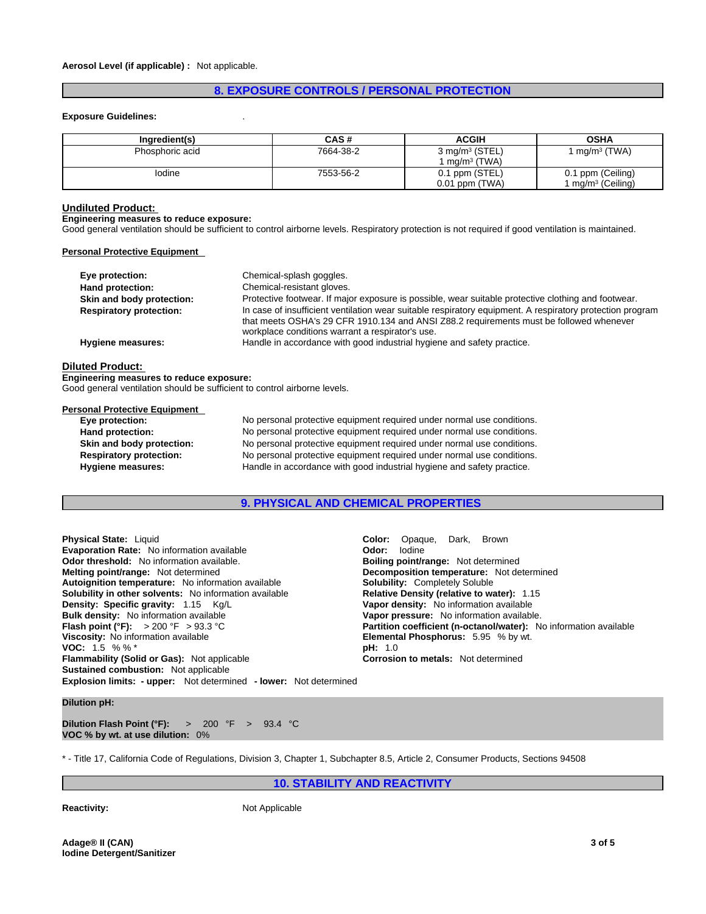### **8. EXPOSURE CONTROLS / PERSONAL PROTECTION**

#### **Exposure Guidelines:** .

| Ingredient(s)   | CAS#      | <b>ACGIH</b>                                               | <b>OSHA</b>                            |
|-----------------|-----------|------------------------------------------------------------|----------------------------------------|
| Phosphoric acid | 7664-38-2 | $3$ mg/m <sup>3</sup> (STEL)<br>1 ma/m <sup>3</sup> (TWA). | mg/m <sup>3</sup> (TWA)                |
| Iodine          | 7553-56-2 | 0.1 ppm (STEL)<br>$0.01$ ppm (TWA)                         | 0.1 ppm (Ceiling)<br>$mg/m3$ (Ceiling) |

#### **Undiluted Product:**

#### **Engineering measures to reduce exposure:**

Good general ventilation should be sufficient to control airborne levels. Respiratory protection is not required if good ventilation is maintained.

#### **Personal Protective Equipment**

| Eye protection:                | Chemical-splash goggles.                                                                                                                                                                                                                                 |
|--------------------------------|----------------------------------------------------------------------------------------------------------------------------------------------------------------------------------------------------------------------------------------------------------|
| Hand protection:               | Chemical-resistant gloves.                                                                                                                                                                                                                               |
| Skin and body protection:      | Protective footwear. If major exposure is possible, wear suitable protective clothing and footwear.                                                                                                                                                      |
| <b>Respiratory protection:</b> | In case of insufficient ventilation wear suitable respiratory equipment. A respiratory protection program<br>that meets OSHA's 29 CFR 1910.134 and ANSI Z88.2 requirements must be followed whenever<br>workplace conditions warrant a respirator's use. |
| <b>Hygiene measures:</b>       | Handle in accordance with good industrial hygiene and safety practice.                                                                                                                                                                                   |
|                                |                                                                                                                                                                                                                                                          |

#### **Diluted Product:**

**Engineering measures to reduce exposure:** Good general ventilation should be sufficient to control airborne levels.

#### **Personal Protective Equipment**

| Eye protection:                | No personal protective equipment required under normal use conditions. |
|--------------------------------|------------------------------------------------------------------------|
| Hand protection:               | No personal protective equipment required under normal use conditions. |
| Skin and body protection:      | No personal protective equipment required under normal use conditions. |
| <b>Respiratory protection:</b> | No personal protective equipment required under normal use conditions. |
| Hygiene measures:              | Handle in accordance with good industrial hygiene and safety practice. |

### **9. PHYSICAL AND CHEMICAL PROPERTIES**

**Explosion limits: - upper:** Not determined **- lower:** Not determined **Physical State:** Liquid **Color:** Opaque, Dark, Brown **Evaporation Rate:** No information available **CODO CONCERTIVITY CONCERTIVITY Odor:** Iodine **Odor threshold:** No information available. **Boiling point/range:** Not determined **Melting point/range:** Not determined **Decomposition temperature:** Not determined **Autoignition temperature:** Not information available **Bullie Computers** Solubility: Completely Soluble **Autoignition temperature:** No information available **Solubility in other solvents:** No information available **Relative Density (relative to water):** 1.15 **Density: Specific gravity:** 1.15 Kg/L **Vapor density: No information available**<br> **Bulk density:** No information available **Vapor pressure:** No information available **Bulk density:** No information available **Vapor pressure:** No information available.<br> **Flash point (°F):** > 200 °F > 93.3 °C **Partition coefficient (n-octanol/water):** N **Flash point (°F):** > 200 °F > 93.3 °C **Partition coefficient (n-octanol/water):** No information available **Viscosity:** No information available **Viscosity:** No information available **Viscosity:** No information available **VOC:** 1.5 % <sup>\*</sup> **pH:** 1.0 **pH:** 1.0 **pH:** 1.0 *pH:* **1.0 <b>***pH:* **1.0** *pH:* **1.0** *pH:* **1.0 <b>***pH:* **1.0** *pH:* **1.0** *pH:* **1.0** *pH:* **1.0** *pH:* **1.0** *pg: 1.0 <i>pg://magility (Solid or Gas):* Not applicable **1.0** *p* **Flammability (Solid or Gas):** Not applicable **Sustained combustion:** Not applicable

**Elemental Phosphorus:** 5.95 % by wt.

### **Dilution pH:**

**Dilution Flash Point (°F):** > 200 °F > 93.4 °C **VOC % by wt. at use dilution:** 0%

\* - Title 17, California Code of Regulations, Division 3, Chapter 1, Subchapter 8.5, Article 2, Consumer Products, Sections 94508

**10. STABILITY AND REACTIVITY**

**Reactivity:** Not Applicable

**Adage® II (CAN) Iodine Detergent/Sanitizer**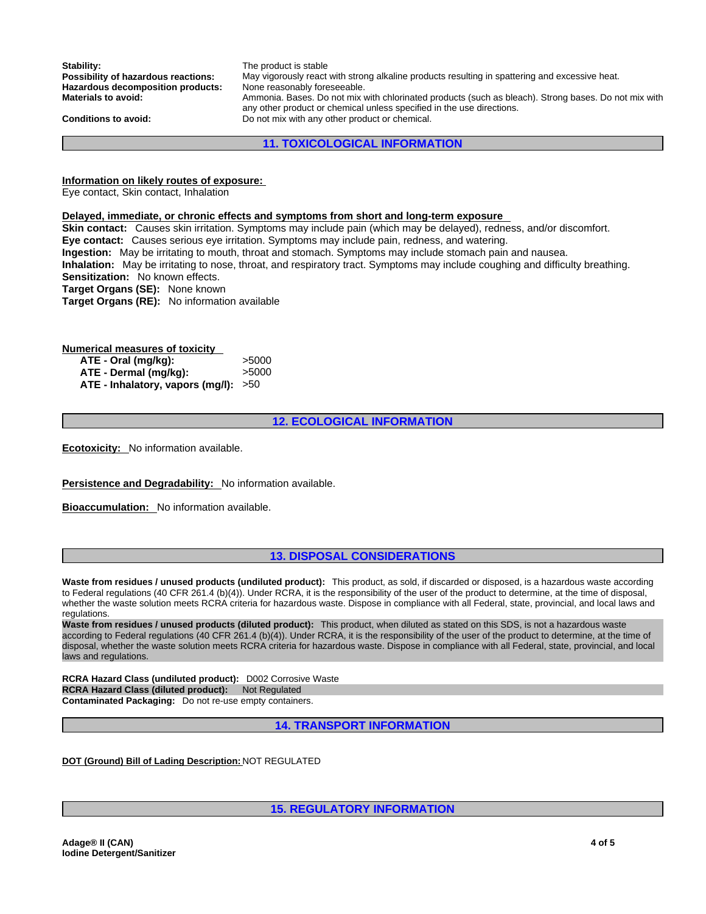**Stability:** The product is stable<br> **Possibility of hazardous reactions:** May vigorously react May vigorously react with strong alkaline products resulting in spattering and excessive heat. **Hazardous decomposition products:** None reasonably foreseeable. **Materials to avoid:** Ammonia. Bases. Do not mix with chlorinated products (such as bleach). Strong bases. Do not mix with any other product or chemical unless specified in the use directions. **Conditions to avoid: Do not mix with any other product or chemical.** 

**11. TOXICOLOGICAL INFORMATION**

**Information on likely routes of exposure:**

Eye contact, Skin contact, Inhalation

**Delayed, immediate, or chronic effects and symptoms from short and long-term exposure**

**Skin contact:** Causes skin irritation. Symptoms may include pain (which may be delayed), redness, and/or discomfort. **Eye contact:** Causes serious eye irritation. Symptoms may include pain, redness, and watering. **Ingestion:** May be irritating to mouth, throat and stomach. Symptoms may include stomach pain and nausea. **Inhalation:** May be irritating to nose, throat, and respiratory tract. Symptoms may include coughing and difficulty breathing. **Sensitization:** No known effects. **Target Organs (SE):** None known **Target Organs (RE):** No information available

**Numerical measures of toxicity**

| ATE - Oral (mg/kg):                  | >5000 |
|--------------------------------------|-------|
| ATE - Dermal (mg/kg):                | >5000 |
| ATE - Inhalatory, vapors (mg/l): >50 |       |

**12. ECOLOGICAL INFORMATION**

**Ecotoxicity:** No information available.

**Persistence and Degradability:** No information available.

**Bioaccumulation:** No information available.

### **13. DISPOSAL CONSIDERATIONS**

**Waste from residues / unused products (undiluted product):** This product, as sold, if discarded or disposed, is a hazardous waste according to Federal regulations (40 CFR 261.4 (b)(4)). Under RCRA, it is the responsibility of the user of the product to determine, at the time of disposal, whether the waste solution meets RCRA criteria for hazardous waste. Dispose in compliance with all Federal, state, provincial, and local laws and regulations.

**Waste from residues / unused products (diluted product):** This product, when diluted as stated on this SDS, is not a hazardous waste according to Federal regulations (40 CFR 261.4 (b)(4)). Under RCRA, it is the responsibility of the user of the product to determine, at the time of disposal, whether the waste solution meets RCRA criteria for hazardous waste. Dispose in compliance with all Federal, state, provincial, and local laws and regulations.

**RCRA Hazard Class (undiluted product):** D002 Corrosive Waste **RCRA Hazard Class (diluted product): Not Regulated Contaminated Packaging:** Do not re-use empty containers.

**14. TRANSPORT INFORMATION**

**DOT (Ground) Bill of Lading Description:** NOT REGULATED

### **15. REGULATORY INFORMATION**